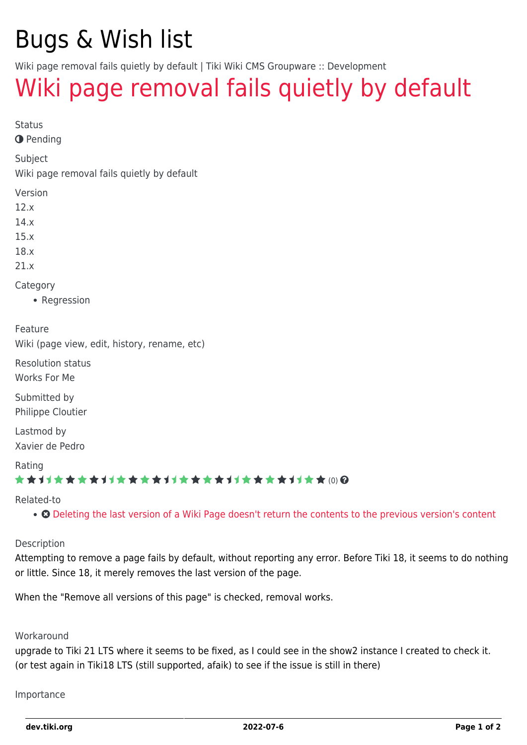# Bugs & Wish list

Wiki page removal fails quietly by default | Tiki Wiki CMS Groupware :: Development

## [Wiki page removal fails quietly by default](https://dev.tiki.org/item6582-Wiki-page-removal-fails-quietly-by-default)

Status

**O** Pending

Subject

Wiki page removal fails quietly by default

Version

12.x

14.x

15.x

18.x

21.x

Category

• Regression

Feature

Wiki (page view, edit, history, rename, etc)

Resolution status Works For Me

Submitted by Philippe Cloutier

Lastmod by Xavier de Pedro

Rating

#### \*\*\*\*\*\*\*\*\*\*\*\*\*\*\*\*\*\*\*\*\*\*\*\*\*\*\*\*\*\*

Related-to

• **O** [Deleting the last version of a Wiki Page doesn't return the contents to the previous version's content](https://dev.tiki.org/item6393-Deleting-the-last-version-of-a-Wiki-Page-doesn-t-return-the-contents-to-the-previous-version-s-content)

#### Description

Attempting to remove a page fails by default, without reporting any error. Before Tiki 18, it seems to do nothing or little. Since 18, it merely removes the last version of the page.

When the "Remove all versions of this page" is checked, removal works.

#### **Workaround**

upgrade to Tiki 21 LTS where it seems to be fixed, as I could see in the show2 instance I created to check it. (or test again in Tiki18 LTS (still supported, afaik) to see if the issue is still in there)

Importance